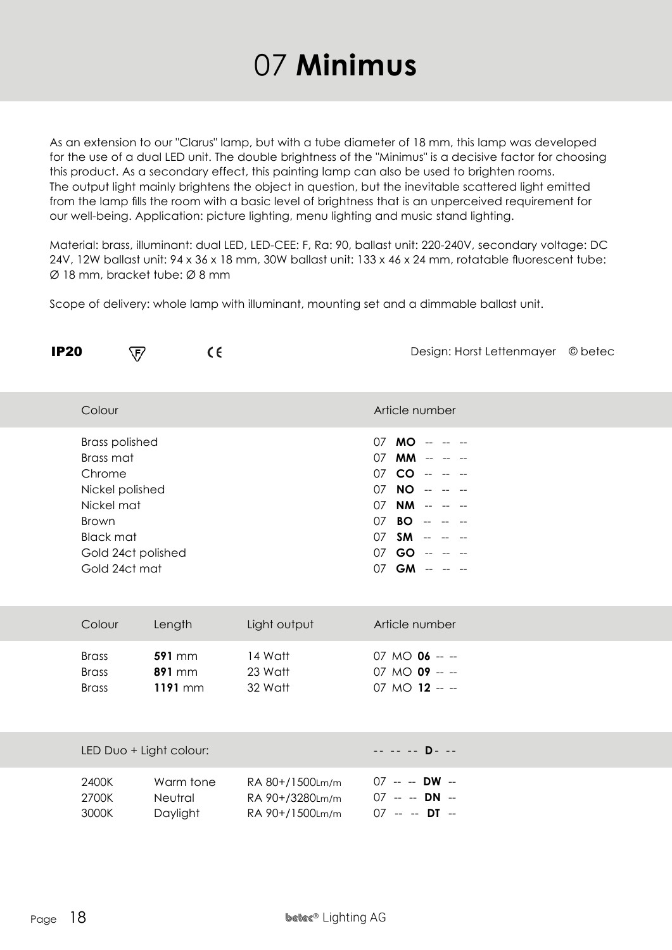## 07 **Minimus**

As an extension to our "Clarus" lamp, but with a tube diameter of 18 mm, this lamp was developed for the use of a dual LED unit. The double brightness of the "Minimus" is a decisive factor for choosing this product. As a secondary effect, this painting lamp can also be used to brighten rooms. The output light mainly brightens the object in question, but the inevitable scattered light emitted from the lamp fills the room with a basic level of brightness that is an unperceived requirement for our well-being. Application: picture lighting, menu lighting and music stand lighting.

Material: brass, illuminant: dual LED, LED-CEE: F, Ra: 90, ballast unit: 220-240V, secondary voltage: DC 24V, 12W ballast unit: 94 x 36 x 18 mm, 30W ballast unit: 133 x 46 x 24 mm, rotatable fluorescent tube: Ø 18 mm, bracket tube: Ø 8 mm

Scope of delivery: whole lamp with illuminant, mounting set and a dimmable ballast unit.

| <b>IP20</b> |                                                                                                                                                          | ∇                                         | C€ |                                                       | Design: Horst Lettenmayer © betec                                                                                                                            |
|-------------|----------------------------------------------------------------------------------------------------------------------------------------------------------|-------------------------------------------|----|-------------------------------------------------------|--------------------------------------------------------------------------------------------------------------------------------------------------------------|
|             | Colour                                                                                                                                                   |                                           |    |                                                       | Article number                                                                                                                                               |
|             | <b>Brass polished</b><br>Brass mat<br>Chrome<br>Nickel polished<br>Nickel mat<br><b>Brown</b><br><b>Black mat</b><br>Gold 24ct polished<br>Gold 24ct mat |                                           |    |                                                       | 07 MO -- -- --<br>07 MM -- --<br>$07$ CO $  -$<br>$07$ NO $  -$<br><b>NM</b> --<br>07<br>$07$ BO -- -- --<br>07 SM -- --<br>07 GO -- -- --<br>07 GM -- -- -- |
|             | Colour                                                                                                                                                   | Length                                    |    | Light output                                          | Article number                                                                                                                                               |
|             | <b>Brass</b><br><b>Brass</b><br><b>Brass</b>                                                                                                             | <b>591 mm</b><br><b>891 mm</b><br>1191 mm |    | 14 Watt<br>23 Watt<br>32 Watt                         | 07 MO 06 -- --<br>07 MO 09 -- --<br>07 MO 12 -- --                                                                                                           |
|             | LED Duo + Light colour:                                                                                                                                  |                                           |    |                                                       | $- - - - - - - - - - - -$                                                                                                                                    |
|             | 2400K<br>2700K<br>3000K                                                                                                                                  | Warm tone<br>Neutral<br>Daylight          |    | RA 80+/1500Lm/m<br>RA 90+/3280Lm/m<br>RA 90+/1500Lm/m | 07 -- -- DW --<br>07 -- -- DN --<br>$07 - -$ DT -                                                                                                            |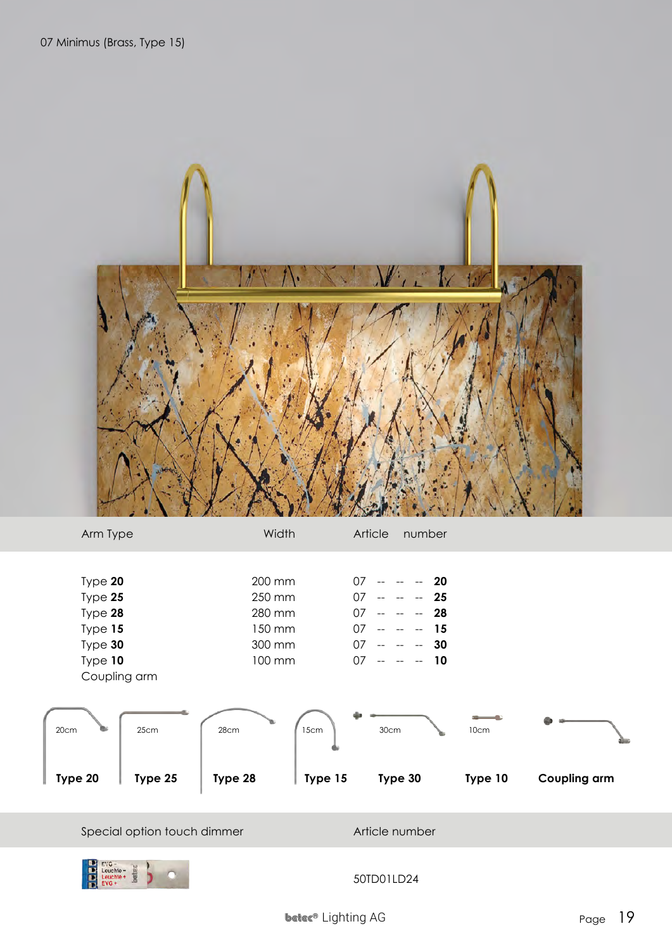

| Arm Type             | Width              | Article<br>number                                                                   |                     |
|----------------------|--------------------|-------------------------------------------------------------------------------------|---------------------|
| Type 20<br>Type 25   | 200 mm<br>250 mm   | $07 - - - - 20$<br>$07 - - - - 25$                                                  |                     |
| Type 28<br>Type $15$ | 280 mm<br>150 mm   | $07 - - - -$<br>- 28<br>07<br>15<br>$\sim$ $\sim$<br>$\mathbf{L}$                   |                     |
| Type 30<br>Type 10   | 300 mm<br>100 mm   | 07<br>-30<br>$\Delta\Delta\phi = -\Delta\phi = -\Delta\phi$<br>$07 - - - - -$<br>10 |                     |
| Coupling arm         |                    |                                                                                     |                     |
| 25cm<br>20cm         | 15cm<br>28cm       | 30cm<br>10cm                                                                        |                     |
| Type 25<br>Type 20   | Type 28<br>Type 15 | Type 30<br>Type 10                                                                  | <b>Coupling arm</b> |

Special option touch dimmer Article number

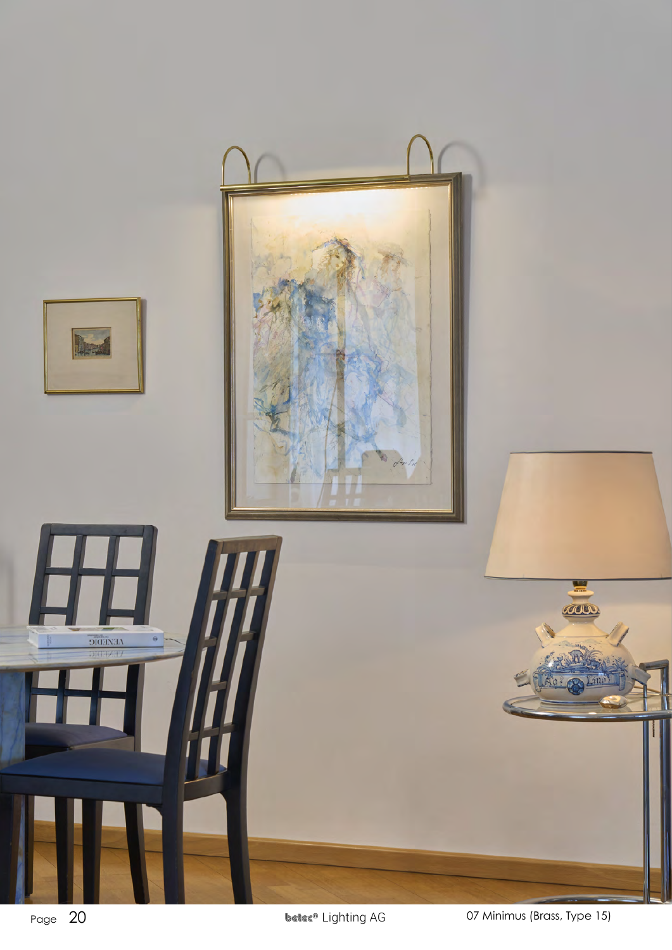

Page 20 **20 beter®** Lighting AG 07 Minimus (Brass, Type 15)